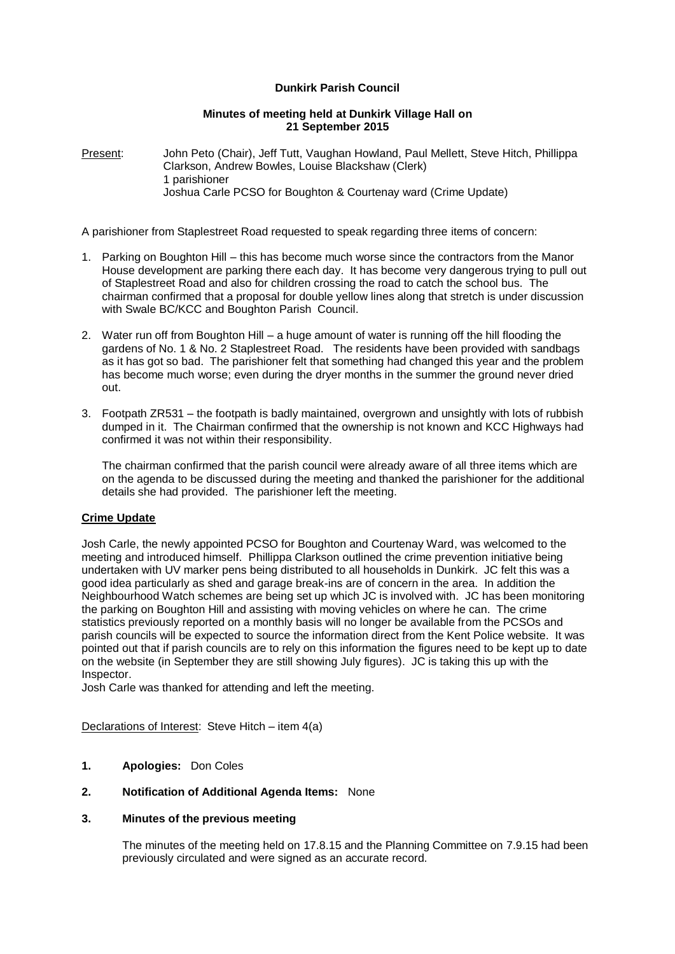## **Dunkirk Parish Council**

#### **Minutes of meeting held at Dunkirk Village Hall on 21 September 2015**

Present: John Peto (Chair), Jeff Tutt, Vaughan Howland, Paul Mellett, Steve Hitch, Phillippa Clarkson, Andrew Bowles, Louise Blackshaw (Clerk) 1 parishioner Joshua Carle PCSO for Boughton & Courtenay ward (Crime Update)

A parishioner from Staplestreet Road requested to speak regarding three items of concern:

- 1. Parking on Boughton Hill this has become much worse since the contractors from the Manor House development are parking there each day. It has become very dangerous trying to pull out of Staplestreet Road and also for children crossing the road to catch the school bus. The chairman confirmed that a proposal for double yellow lines along that stretch is under discussion with Swale BC/KCC and Boughton Parish Council.
- 2. Water run off from Boughton Hill a huge amount of water is running off the hill flooding the gardens of No. 1 & No. 2 Staplestreet Road. The residents have been provided with sandbags as it has got so bad. The parishioner felt that something had changed this year and the problem has become much worse; even during the dryer months in the summer the ground never dried out.
- 3. Footpath ZR531 the footpath is badly maintained, overgrown and unsightly with lots of rubbish dumped in it. The Chairman confirmed that the ownership is not known and KCC Highways had confirmed it was not within their responsibility.

The chairman confirmed that the parish council were already aware of all three items which are on the agenda to be discussed during the meeting and thanked the parishioner for the additional details she had provided. The parishioner left the meeting.

## **Crime Update**

Josh Carle, the newly appointed PCSO for Boughton and Courtenay Ward, was welcomed to the meeting and introduced himself. Phillippa Clarkson outlined the crime prevention initiative being undertaken with UV marker pens being distributed to all households in Dunkirk. JC felt this was a good idea particularly as shed and garage break-ins are of concern in the area. In addition the Neighbourhood Watch schemes are being set up which JC is involved with. JC has been monitoring the parking on Boughton Hill and assisting with moving vehicles on where he can. The crime statistics previously reported on a monthly basis will no longer be available from the PCSOs and parish councils will be expected to source the information direct from the Kent Police website. It was pointed out that if parish councils are to rely on this information the figures need to be kept up to date on the website (in September they are still showing July figures). JC is taking this up with the Inspector.

Josh Carle was thanked for attending and left the meeting.

Declarations of Interest: Steve Hitch – item 4(a)

## **1. Apologies:** Don Coles

#### **2. Notification of Additional Agenda Items:** None

#### **3. Minutes of the previous meeting**

The minutes of the meeting held on 17.8.15 and the Planning Committee on 7.9.15 had been previously circulated and were signed as an accurate record.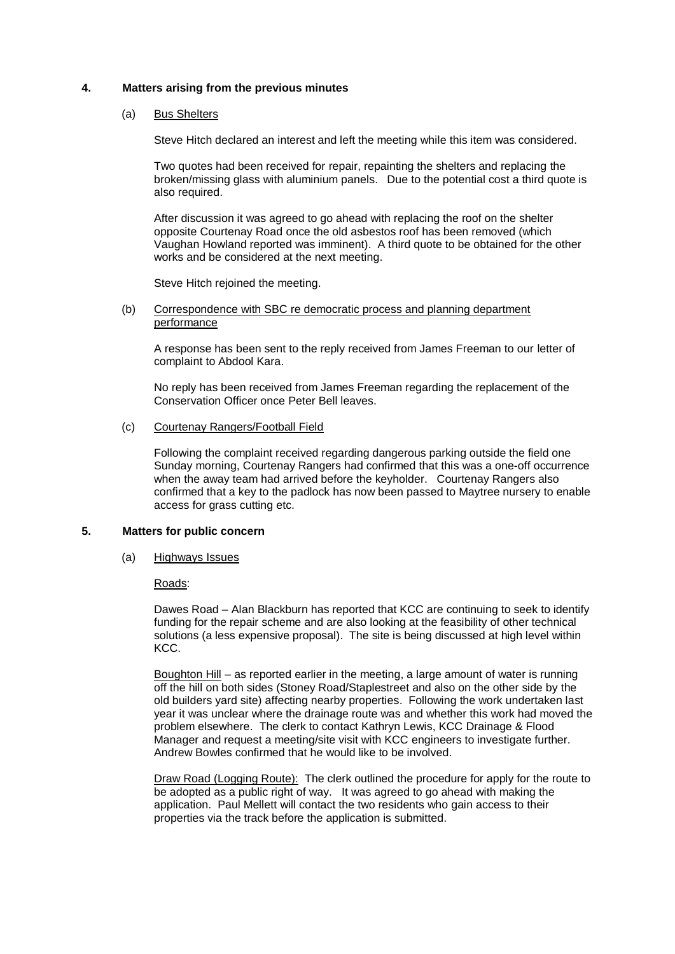## **4. Matters arising from the previous minutes**

#### (a) Bus Shelters

Steve Hitch declared an interest and left the meeting while this item was considered.

Two quotes had been received for repair, repainting the shelters and replacing the broken/missing glass with aluminium panels. Due to the potential cost a third quote is also required.

After discussion it was agreed to go ahead with replacing the roof on the shelter opposite Courtenay Road once the old asbestos roof has been removed (which Vaughan Howland reported was imminent). A third quote to be obtained for the other works and be considered at the next meeting.

Steve Hitch rejoined the meeting.

#### (b) Correspondence with SBC re democratic process and planning department performance

A response has been sent to the reply received from James Freeman to our letter of complaint to Abdool Kara.

No reply has been received from James Freeman regarding the replacement of the Conservation Officer once Peter Bell leaves.

## (c) Courtenay Rangers/Football Field

Following the complaint received regarding dangerous parking outside the field one Sunday morning, Courtenay Rangers had confirmed that this was a one-off occurrence when the away team had arrived before the keyholder. Courtenay Rangers also confirmed that a key to the padlock has now been passed to Maytree nursery to enable access for grass cutting etc.

#### **5. Matters for public concern**

(a) Highways Issues

#### Roads:

Dawes Road – Alan Blackburn has reported that KCC are continuing to seek to identify funding for the repair scheme and are also looking at the feasibility of other technical solutions (a less expensive proposal). The site is being discussed at high level within KCC.

Boughton Hill - as reported earlier in the meeting, a large amount of water is running off the hill on both sides (Stoney Road/Staplestreet and also on the other side by the old builders yard site) affecting nearby properties. Following the work undertaken last year it was unclear where the drainage route was and whether this work had moved the problem elsewhere. The clerk to contact Kathryn Lewis, KCC Drainage & Flood Manager and request a meeting/site visit with KCC engineers to investigate further. Andrew Bowles confirmed that he would like to be involved.

Draw Road (Logging Route): The clerk outlined the procedure for apply for the route to be adopted as a public right of way. It was agreed to go ahead with making the application. Paul Mellett will contact the two residents who gain access to their properties via the track before the application is submitted.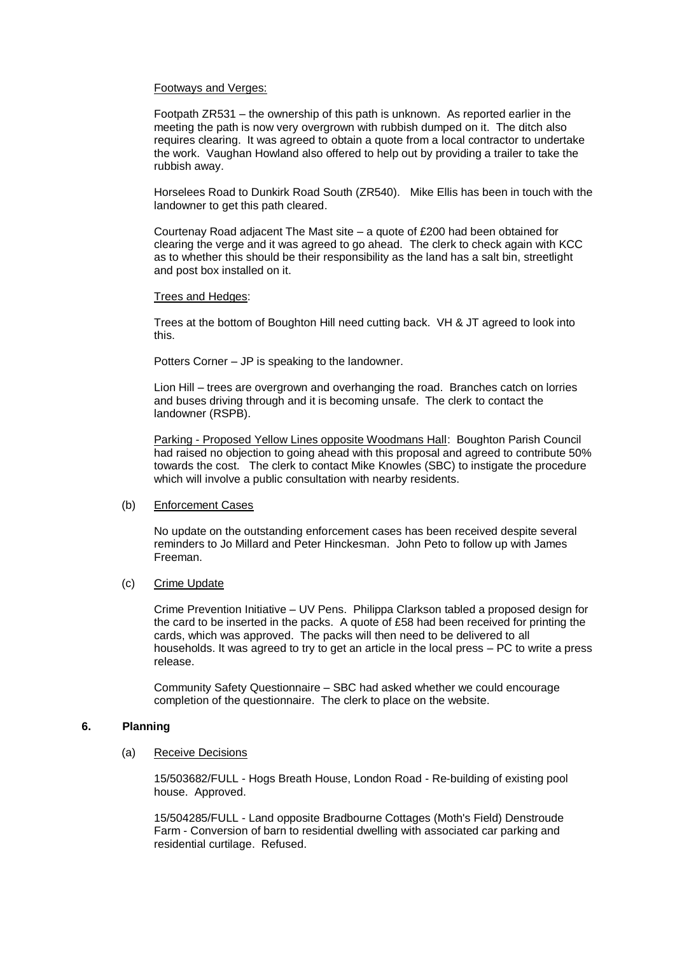### Footways and Verges:

Footpath ZR531 – the ownership of this path is unknown. As reported earlier in the meeting the path is now very overgrown with rubbish dumped on it. The ditch also requires clearing. It was agreed to obtain a quote from a local contractor to undertake the work. Vaughan Howland also offered to help out by providing a trailer to take the rubbish away.

Horselees Road to Dunkirk Road South (ZR540). Mike Ellis has been in touch with the landowner to get this path cleared.

Courtenay Road adjacent The Mast site – a quote of £200 had been obtained for clearing the verge and it was agreed to go ahead. The clerk to check again with KCC as to whether this should be their responsibility as the land has a salt bin, streetlight and post box installed on it.

#### Trees and Hedges:

Trees at the bottom of Boughton Hill need cutting back. VH & JT agreed to look into this.

Potters Corner – JP is speaking to the landowner.

Lion Hill – trees are overgrown and overhanging the road. Branches catch on lorries and buses driving through and it is becoming unsafe. The clerk to contact the landowner (RSPB).

Parking - Proposed Yellow Lines opposite Woodmans Hall: Boughton Parish Council had raised no objection to going ahead with this proposal and agreed to contribute 50% towards the cost. The clerk to contact Mike Knowles (SBC) to instigate the procedure which will involve a public consultation with nearby residents.

### (b) Enforcement Cases

No update on the outstanding enforcement cases has been received despite several reminders to Jo Millard and Peter Hinckesman. John Peto to follow up with James Freeman.

#### (c) Crime Update

Crime Prevention Initiative – UV Pens. Philippa Clarkson tabled a proposed design for the card to be inserted in the packs. A quote of £58 had been received for printing the cards, which was approved. The packs will then need to be delivered to all households. It was agreed to try to get an article in the local press – PC to write a press release.

Community Safety Questionnaire – SBC had asked whether we could encourage completion of the questionnaire. The clerk to place on the website.

## **6. Planning**

#### (a) Receive Decisions

15/503682/FULL - Hogs Breath House, London Road - Re-building of existing pool house. Approved.

15/504285/FULL - Land opposite Bradbourne Cottages (Moth's Field) Denstroude Farm - Conversion of barn to residential dwelling with associated car parking and residential curtilage. Refused.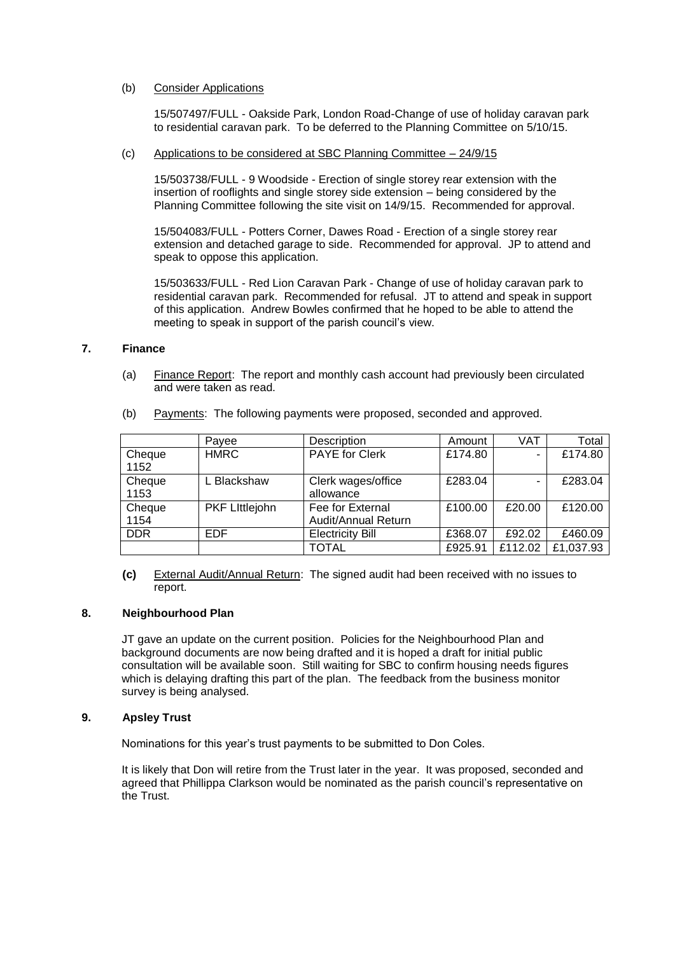## (b) Consider Applications

15/507497/FULL - Oakside Park, London Road-Change of use of holiday caravan park to residential caravan park. To be deferred to the Planning Committee on 5/10/15.

#### (c) Applications to be considered at SBC Planning Committee – 24/9/15

15/503738/FULL - 9 Woodside - Erection of single storey rear extension with the insertion of rooflights and single storey side extension – being considered by the Planning Committee following the site visit on 14/9/15. Recommended for approval.

15/504083/FULL - Potters Corner, Dawes Road - Erection of a single storey rear extension and detached garage to side. Recommended for approval. JP to attend and speak to oppose this application.

15/503633/FULL - Red Lion Caravan Park - Change of use of holiday caravan park to residential caravan park. Recommended for refusal. JT to attend and speak in support of this application. Andrew Bowles confirmed that he hoped to be able to attend the meeting to speak in support of the parish council's view.

### **7. Finance**

(a) Finance Report: The report and monthly cash account had previously been circulated and were taken as read.

| (b) |  | <b>Payments:</b> The following payments were proposed, seconded and approved. |
|-----|--|-------------------------------------------------------------------------------|
|     |  |                                                                               |

|            | Pavee                 | Description             | Amount  | VAT     | Total     |
|------------|-----------------------|-------------------------|---------|---------|-----------|
| Cheque     | <b>HMRC</b>           | <b>PAYE for Clerk</b>   | £174.80 |         | £174.80   |
| 1152       |                       |                         |         |         |           |
| Cheque     | L Blackshaw           | Clerk wages/office      | £283.04 |         | £283.04   |
| 1153       |                       | allowance               |         |         |           |
| Cheque     | <b>PKF Littlejohn</b> | Fee for External        | £100.00 | £20.00  | £120.00   |
| 1154       |                       | Audit/Annual Return     |         |         |           |
| <b>DDR</b> | EDF                   | <b>Electricity Bill</b> | £368.07 | £92.02  | £460.09   |
|            |                       | TOTAL                   | £925.91 | £112.02 | £1,037.93 |

**(c)** External Audit/Annual Return: The signed audit had been received with no issues to report.

## **8. Neighbourhood Plan**

JT gave an update on the current position. Policies for the Neighbourhood Plan and background documents are now being drafted and it is hoped a draft for initial public consultation will be available soon. Still waiting for SBC to confirm housing needs figures which is delaying drafting this part of the plan. The feedback from the business monitor survey is being analysed.

## **9. Apsley Trust**

Nominations for this year's trust payments to be submitted to Don Coles.

It is likely that Don will retire from the Trust later in the year. It was proposed, seconded and agreed that Phillippa Clarkson would be nominated as the parish council's representative on the Trust.